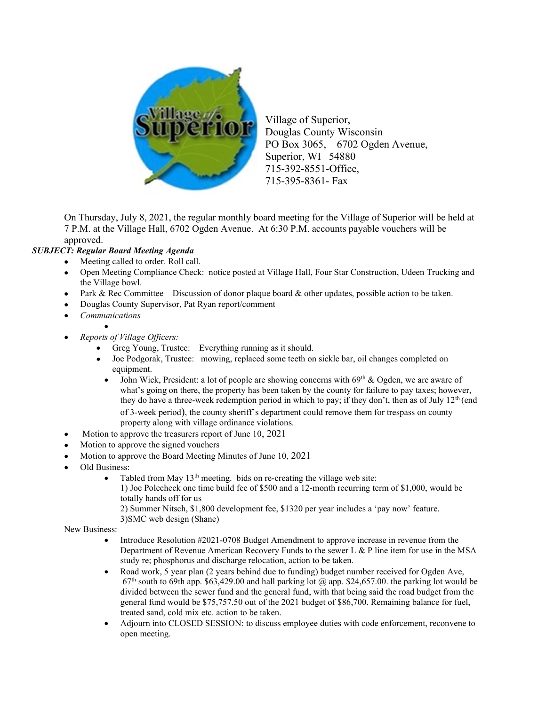

Village of Superior, Douglas County Wisconsin PO Box 3065, 6702 Ogden Avenue, Superior, WI 54880 715-392-8551-Office, 715-395-8361- Fax

On Thursday, July 8, 2021, the regular monthly board meeting for the Village of Superior will be held at 7 P.M. at the Village Hall, 6702 Ogden Avenue. At 6:30 P.M. accounts payable vouchers will be approved.

## SUBJECT: Regular Board Meeting Agenda

- Meeting called to order. Roll call.
- Open Meeting Compliance Check: notice posted at Village Hall, Four Star Construction, Udeen Trucking and the Village bowl.
- Park & Rec Committee Discussion of donor plaque board & other updates, possible action to be taken.
- Douglas County Supervisor, Pat Ryan report/comment
- Communications
	-
	- Reports of Village Officers:

 $\bullet$ 

- Greg Young, Trustee: Everything running as it should.
- Joe Podgorak, Trustee: mowing, replaced some teeth on sickle bar, oil changes completed on equipment.
	- John Wick, President: a lot of people are showing concerns with  $69<sup>th</sup>$  & Ogden, we are aware of what's going on there, the property has been taken by the county for failure to pay taxes; however, they do have a three-week redemption period in which to pay; if they don't, then as of July 12<sup>th</sup> (end of 3-week period), the county sheriff's department could remove them for trespass on county property along with village ordinance violations.
- Motion to approve the treasurers report of June 10, 2021
- Motion to approve the signed vouchers
- Motion to approve the Board Meeting Minutes of June 10, 2021
- Old Business:
	- Tabled from May  $13<sup>th</sup>$  meeting. bids on re-creating the village web site: 1) Joe Polecheck one time build fee of \$500 and a 12-month recurring term of \$1,000, would be totally hands off for us
		- 2) Summer Nitsch, \$1,800 development fee, \$1320 per year includes a 'pay now' feature.
		- 3)SMC web design (Shane)

New Business:

- Introduce Resolution #2021-0708 Budget Amendment to approve increase in revenue from the Department of Revenue American Recovery Funds to the sewer L & P line item for use in the MSA study re; phosphorus and discharge relocation, action to be taken.
- Road work, 5 year plan (2 years behind due to funding) budget number received for Ogden Ave,  $67<sup>th</sup>$  south to 69th app. \$63,429.00 and hall parking lot  $\omega$  app. \$24,657.00. the parking lot would be divided between the sewer fund and the general fund, with that being said the road budget from the general fund would be \$75,757.50 out of the 2021 budget of \$86,700. Remaining balance for fuel, treated sand, cold mix etc. action to be taken.
- Adjourn into CLOSED SESSION: to discuss employee duties with code enforcement, reconvene to open meeting.